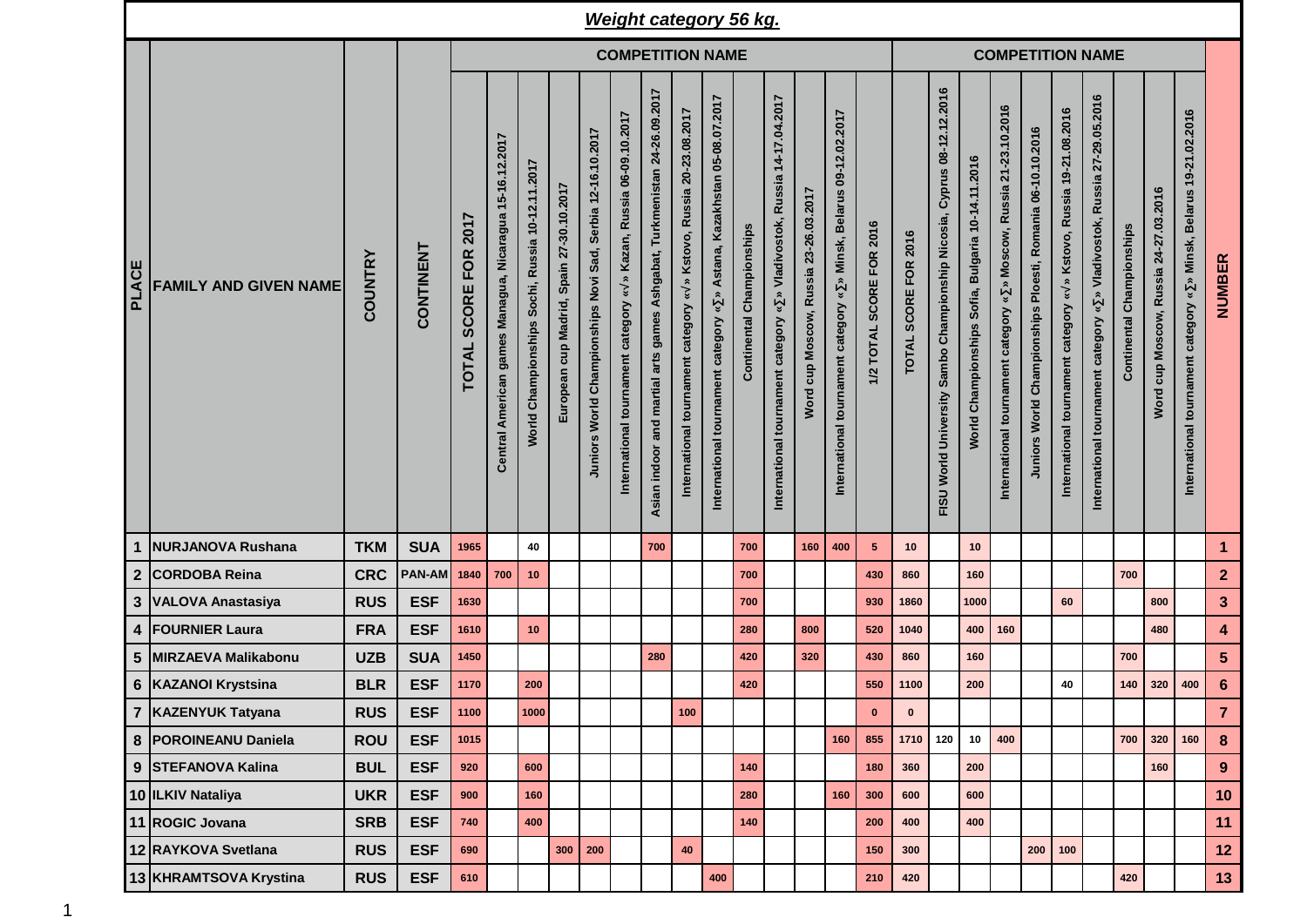|              |                              |                         |               |                                                    |                                                         |                                                 |                                          |                                                            |                                                                      |                                                                             |                                                                                                             | <b>Weight category 56 kg.</b>                                                                   |                              |                                                                                                      |                                  |                                                                                                          |                          |                      |                                                                                       |                                                                             |                                                                                                    |                                                            |                                                                                            |                                                                            |                                  |                                       |                                                                       |                         |
|--------------|------------------------------|-------------------------|---------------|----------------------------------------------------|---------------------------------------------------------|-------------------------------------------------|------------------------------------------|------------------------------------------------------------|----------------------------------------------------------------------|-----------------------------------------------------------------------------|-------------------------------------------------------------------------------------------------------------|-------------------------------------------------------------------------------------------------|------------------------------|------------------------------------------------------------------------------------------------------|----------------------------------|----------------------------------------------------------------------------------------------------------|--------------------------|----------------------|---------------------------------------------------------------------------------------|-----------------------------------------------------------------------------|----------------------------------------------------------------------------------------------------|------------------------------------------------------------|--------------------------------------------------------------------------------------------|----------------------------------------------------------------------------|----------------------------------|---------------------------------------|-----------------------------------------------------------------------|-------------------------|
|              |                              | <b>COMPETITION NAME</b> |               |                                                    |                                                         |                                                 |                                          |                                                            |                                                                      |                                                                             |                                                                                                             |                                                                                                 |                              |                                                                                                      |                                  |                                                                                                          | <b>COMPETITION NAME</b>  |                      |                                                                                       |                                                                             |                                                                                                    |                                                            |                                                                                            |                                                                            |                                  |                                       |                                                                       |                         |
| <b>PLACE</b> | <b>FAMILY AND GIVEN NAME</b> | <b>COUNTRY</b>          | CONTINENT     | 2017<br><b>FOR</b><br><b>SCORE</b><br><b>TOTAL</b> | Central American games Managua, Nicaragua 15-16.12.2017 | Norld Championships Sochi, Russia 10-12.11.2017 | European cup Madrid, Spain 27-30.10.2017 | Juniors World Championships Novi Sad, Serbia 12-16.10.2017 | » Kazan, Russia 06-09.10.2017<br>International tournament category « | Ashgabat, Turkmenistan 24-26.09.2017<br>Asian indoor and martial arts games | Kstovo, Russia 20-23.08.2017<br>$\hat{\mathbf{z}}$<br>$\,\mathbf{x}\,$<br>International tournament category | Astana, Kazakhstan 05-08.07.2017<br>$\boldsymbol{\ast}$<br>category<br>International tournament | Championships<br>Continental | Russia 14-17.04.2017<br>Vladivostok,<br>$\check{\mathbf{v}}$<br>category<br>International tournament | cup Moscow, Russia 23-26.03.2017 | 09-12.02.2017<br><b>Belarus</b><br>Minsk,<br>$\boldsymbol{\ast}$<br>tournament category<br>International | 1/2 TOTAL SCORE FOR 2016 | TOTAL SCORE FOR 2016 | 08-12.12.2016<br>Cyprus<br>Championship Nicosia,<br>Sambo<br>World University<br>FISU | 10-14.11.2016<br><b>Bulgaria</b><br>Sofia,<br>Championships<br><b>World</b> | 21-23.10.2016<br>Moscow, Russia<br>$\hat{\mathbf{z}}$<br>¥<br>category<br>International tournament | Juniors World Championships Ploesti, Romania 06-10.10.2016 | » Kstovo, Russia 19-21.08.2016<br>$\boldsymbol{\ast}$<br>International tournament category | » Vladivostok, Russia 27-29.05.2016<br>International tournament category « | <b>Continental Championships</b> | Word cup Moscow, Russia 24-27.03.2016 | » Minsk, Belarus 19-21.02.2016<br>International tournament category « | NUMBER                  |
| 1            | <b>NURJANOVA Rushana</b>     | <b>TKM</b>              | <b>SUA</b>    | 1965                                               |                                                         | 40                                              |                                          |                                                            |                                                                      | 700                                                                         |                                                                                                             |                                                                                                 | 700                          |                                                                                                      | 160                              | 400                                                                                                      | 5 <sub>5</sub>           | 10                   |                                                                                       | 10                                                                          |                                                                                                    |                                                            |                                                                                            |                                                                            |                                  |                                       |                                                                       | $\mathbf{1}$            |
|              | 2 CORDOBA Reina              | <b>CRC</b>              | <b>PAN-AM</b> | 1840                                               | 700                                                     | 10                                              |                                          |                                                            |                                                                      |                                                                             |                                                                                                             |                                                                                                 | 700                          |                                                                                                      |                                  |                                                                                                          | 430                      | 860                  |                                                                                       | 160                                                                         |                                                                                                    |                                                            |                                                                                            |                                                                            | 700                              |                                       |                                                                       | $\overline{2}$          |
|              | 3 VALOVA Anastasiya          | <b>RUS</b>              | <b>ESF</b>    | 1630                                               |                                                         |                                                 |                                          |                                                            |                                                                      |                                                                             |                                                                                                             |                                                                                                 | 700                          |                                                                                                      |                                  |                                                                                                          | 930                      | 1860                 |                                                                                       | 1000                                                                        |                                                                                                    |                                                            | 60                                                                                         |                                                                            |                                  | 800                                   |                                                                       | $\mathbf{3}$            |
|              | 4   FOURNIER Laura           | <b>FRA</b>              | <b>ESF</b>    | 1610                                               |                                                         | 10                                              |                                          |                                                            |                                                                      |                                                                             |                                                                                                             |                                                                                                 | 280                          |                                                                                                      | 800                              |                                                                                                          | 520                      | 1040                 |                                                                                       | 400                                                                         | 160                                                                                                |                                                            |                                                                                            |                                                                            |                                  | 480                                   |                                                                       | $\overline{\mathbf{4}}$ |
| 5            | <b>MIRZAEVA Malikabonu</b>   | <b>UZB</b>              | <b>SUA</b>    | 1450                                               |                                                         |                                                 |                                          |                                                            |                                                                      | 280                                                                         |                                                                                                             |                                                                                                 | 420                          |                                                                                                      | 320                              |                                                                                                          | 430                      | 860                  |                                                                                       | 160                                                                         |                                                                                                    |                                                            |                                                                                            |                                                                            | 700                              |                                       |                                                                       | $5\phantom{.0}$         |
|              | 6   KAZANOI Krystsina        | <b>BLR</b>              | <b>ESF</b>    | 1170                                               |                                                         | 200                                             |                                          |                                                            |                                                                      |                                                                             |                                                                                                             |                                                                                                 | 420                          |                                                                                                      |                                  |                                                                                                          | 550                      | 1100                 |                                                                                       | 200                                                                         |                                                                                                    |                                                            | 40                                                                                         |                                                                            | 140                              | 320                                   | 400                                                                   | $6\phantom{1}6$         |
|              | 7 KAZENYUK Tatyana           | <b>RUS</b>              | <b>ESF</b>    | 1100                                               |                                                         | 1000                                            |                                          |                                                            |                                                                      |                                                                             | 100                                                                                                         |                                                                                                 |                              |                                                                                                      |                                  |                                                                                                          | $\mathbf 0$              | $\pmb{0}$            |                                                                                       |                                                                             |                                                                                                    |                                                            |                                                                                            |                                                                            |                                  |                                       |                                                                       | $\overline{7}$          |
|              | 8   POROINEANU Daniela       | <b>ROU</b>              | <b>ESF</b>    | 1015                                               |                                                         |                                                 |                                          |                                                            |                                                                      |                                                                             |                                                                                                             |                                                                                                 |                              |                                                                                                      |                                  | 160                                                                                                      | 855                      | 1710 120             |                                                                                       | 10                                                                          | 400                                                                                                |                                                            |                                                                                            |                                                                            | 700                              | 320                                   | 160                                                                   | 8                       |
|              | 9 STEFANOVA Kalina           | <b>BUL</b>              | <b>ESF</b>    | 920                                                |                                                         | 600                                             |                                          |                                                            |                                                                      |                                                                             |                                                                                                             |                                                                                                 | 140                          |                                                                                                      |                                  |                                                                                                          | 180                      | 360                  |                                                                                       | 200                                                                         |                                                                                                    |                                                            |                                                                                            |                                                                            |                                  | 160                                   |                                                                       | 9                       |
|              | 10 ILKIV Nataliya            | <b>UKR</b>              | <b>ESF</b>    | 900                                                |                                                         | 160                                             |                                          |                                                            |                                                                      |                                                                             |                                                                                                             |                                                                                                 | 280                          |                                                                                                      |                                  | 160                                                                                                      | 300                      | 600                  |                                                                                       | 600                                                                         |                                                                                                    |                                                            |                                                                                            |                                                                            |                                  |                                       |                                                                       | 10                      |
|              | 11 ROGIC Jovana              | <b>SRB</b>              | <b>ESF</b>    | 740                                                |                                                         | 400                                             |                                          |                                                            |                                                                      |                                                                             |                                                                                                             |                                                                                                 | 140                          |                                                                                                      |                                  |                                                                                                          | 200                      | 400                  |                                                                                       | 400                                                                         |                                                                                                    |                                                            |                                                                                            |                                                                            |                                  |                                       |                                                                       | 11                      |
|              | 12 RAYKOVA Svetlana          | <b>RUS</b>              | <b>ESF</b>    | 690                                                |                                                         |                                                 | 300                                      | 200                                                        |                                                                      |                                                                             | 40                                                                                                          |                                                                                                 |                              |                                                                                                      |                                  |                                                                                                          | 150                      | 300                  |                                                                                       |                                                                             |                                                                                                    |                                                            | $200$ 100                                                                                  |                                                                            |                                  |                                       |                                                                       | 12                      |
|              | 13 KHRAMTSOVA Krystina       | <b>RUS</b>              | <b>ESF</b>    | 610                                                |                                                         |                                                 |                                          |                                                            |                                                                      |                                                                             |                                                                                                             | 400                                                                                             |                              |                                                                                                      |                                  |                                                                                                          | 210                      | 420                  |                                                                                       |                                                                             |                                                                                                    |                                                            |                                                                                            |                                                                            | 420                              |                                       |                                                                       | 13                      |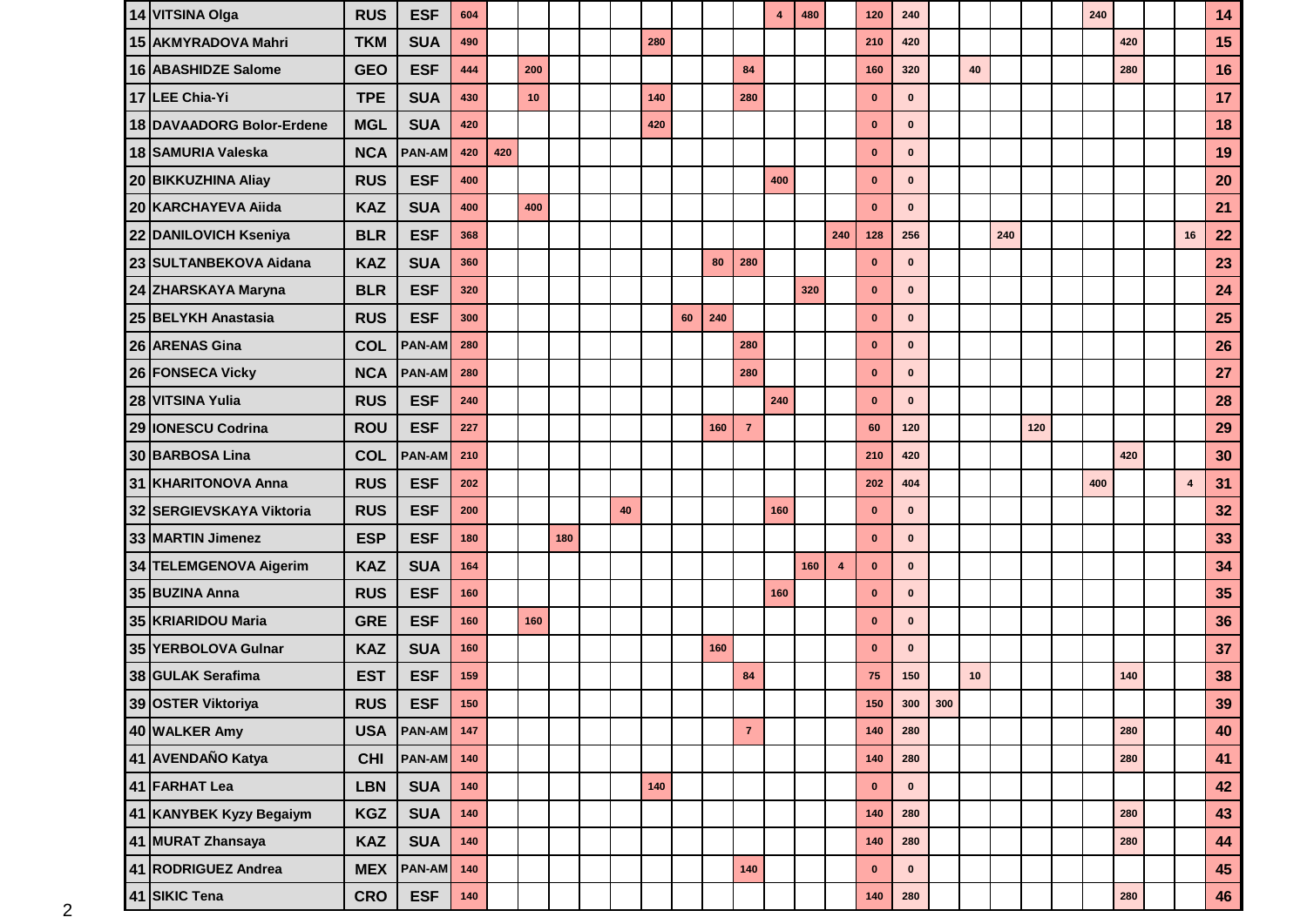| 14 VITSINA Olga           | <b>RUS</b> | <b>ESF</b>        | 604   |     |     |     |    |     |    |     |                | 4   | 480 |                | 120         | 240          |    |     |     | 240 |     |    | 14 |
|---------------------------|------------|-------------------|-------|-----|-----|-----|----|-----|----|-----|----------------|-----|-----|----------------|-------------|--------------|----|-----|-----|-----|-----|----|----|
| 15 AKMYRADOVA Mahri       | <b>TKM</b> | <b>SUA</b>        | 490   |     |     |     |    | 280 |    |     |                |     |     |                | 210         | 420          |    |     |     |     | 420 |    | 15 |
| 16 ABASHIDZE Salome       | <b>GEO</b> | <b>ESF</b>        | 444   |     | 200 |     |    |     |    |     | 84             |     |     |                | 160         | 320          | 40 |     |     |     | 280 |    | 16 |
| 17 LEE Chia-Yi            | <b>TPE</b> | <b>SUA</b>        | 430   |     | 10  |     |    | 140 |    |     | 280            |     |     |                | $\bf{0}$    | $\mathbf{0}$ |    |     |     |     |     |    | 17 |
| 18 DAVAADORG Bolor-Erdene | <b>MGL</b> | <b>SUA</b>        | 420   |     |     |     |    | 420 |    |     |                |     |     |                | $\bf{0}$    | $\bf{0}$     |    |     |     |     |     |    | 18 |
| 18 SAMURIA Valeska        | <b>NCA</b> | <b>PAN-AM</b>     | 420   | 420 |     |     |    |     |    |     |                |     |     |                | $\bf{0}$    | $\mathbf{0}$ |    |     |     |     |     |    | 19 |
| 20 BIKKUZHINA Aliay       | <b>RUS</b> | <b>ESF</b>        | 400   |     |     |     |    |     |    |     |                | 400 |     |                | $\mathbf 0$ | $\mathbf{0}$ |    |     |     |     |     |    | 20 |
| 20 KARCHAYEVA Aiida       | <b>KAZ</b> | <b>SUA</b>        | 400   |     | 400 |     |    |     |    |     |                |     |     |                | $\bf{0}$    | $\mathbf{0}$ |    |     |     |     |     |    | 21 |
| 22 DANILOVICH Kseniya     | <b>BLR</b> | <b>ESF</b>        | 368   |     |     |     |    |     |    |     |                |     |     | 240            | 128         | 256          |    | 240 |     |     |     | 16 | 22 |
| 23 SULTANBEKOVA Aidana    | <b>KAZ</b> | <b>SUA</b>        | 360   |     |     |     |    |     |    | 80  | 280            |     |     |                | $\bf{0}$    | $\mathbf{0}$ |    |     |     |     |     |    | 23 |
| 24 ZHARSKAYA Maryna       | <b>BLR</b> | <b>ESF</b>        | 320   |     |     |     |    |     |    |     |                |     | 320 |                | $\mathbf 0$ | $\mathbf{0}$ |    |     |     |     |     |    | 24 |
| 25 BELYKH Anastasia       | <b>RUS</b> | <b>ESF</b>        | 300   |     |     |     |    |     | 60 | 240 |                |     |     |                | $\bf{0}$    | $\mathbf{0}$ |    |     |     |     |     |    | 25 |
| 26 ARENAS Gina            | <b>COL</b> | <b>PAN-AM</b>     | 280   |     |     |     |    |     |    |     | 280            |     |     |                | $\bf{0}$    | $\mathbf{0}$ |    |     |     |     |     |    | 26 |
| 26 FONSECA Vicky          | <b>NCA</b> | <b>PAN-AM</b>     | 280   |     |     |     |    |     |    |     | 280            |     |     |                | $\bf{0}$    | $\bf{0}$     |    |     |     |     |     |    | 27 |
| 28 VITSINA Yulia          | <b>RUS</b> | <b>ESF</b>        | 240   |     |     |     |    |     |    |     |                | 240 |     |                | $\mathbf 0$ | $\mathbf{0}$ |    |     |     |     |     |    | 28 |
| 29 IONESCU Codrina        | <b>ROU</b> | <b>ESF</b>        | 227   |     |     |     |    |     |    | 160 | $\overline{7}$ |     |     |                | 60          | 120          |    |     | 120 |     |     |    | 29 |
| 30 BARBOSA Lina           | <b>COL</b> | <b>PAN-AM</b>     | 210   |     |     |     |    |     |    |     |                |     |     |                | 210         | 420          |    |     |     |     | 420 |    | 30 |
| 31 KHARITONOVA Anna       | <b>RUS</b> | <b>ESF</b>        | 202   |     |     |     |    |     |    |     |                |     |     |                | 202         | 404          |    |     |     | 400 |     | 4  | 31 |
| 32 SERGIEVSKAYA Viktoria  | <b>RUS</b> | <b>ESF</b>        | 200   |     |     |     | 40 |     |    |     |                | 160 |     |                | $\bf{0}$    | $\mathbf{0}$ |    |     |     |     |     |    | 32 |
| 33 MARTIN Jimenez         | <b>ESP</b> | <b>ESF</b>        | 180   |     |     | 180 |    |     |    |     |                |     |     |                | $\bf{0}$    | $\mathbf{0}$ |    |     |     |     |     |    | 33 |
| 34 TELEMGENOVA Aigerim    | <b>KAZ</b> | <b>SUA</b>        | 164   |     |     |     |    |     |    |     |                |     | 160 | $\overline{4}$ | $\bf{0}$    | $\mathbf{0}$ |    |     |     |     |     |    | 34 |
| 35 BUZINA Anna            | <b>RUS</b> | <b>ESF</b>        | 160   |     |     |     |    |     |    |     |                | 160 |     |                | $\bf{0}$    | $\mathbf{0}$ |    |     |     |     |     |    | 35 |
| 35 KRIARIDOU Maria        | <b>GRE</b> | <b>ESF</b>        | 160   |     | 160 |     |    |     |    |     |                |     |     |                | $\bf{0}$    | $\mathbf{0}$ |    |     |     |     |     |    | 36 |
| 35 YERBOLOVA Gulnar       | <b>KAZ</b> | <b>SUA</b>        | 160   |     |     |     |    |     |    | 160 |                |     |     |                | $\bf{0}$    | $\mathbf{0}$ |    |     |     |     |     |    | 37 |
| 38 GULAK Serafima         | <b>EST</b> | <b>ESF</b>        | 159   |     |     |     |    |     |    |     | 84             |     |     |                | 75          | 150          | 10 |     |     |     | 140 |    | 38 |
| 39 OSTER Viktoriya        | <b>RUS</b> | <b>ESF</b>        | 150   |     |     |     |    |     |    |     |                |     |     |                | 150         | $300$ 300    |    |     |     |     |     |    | 39 |
| 40 WALKER Amy             | <b>USA</b> | <b>PAN-AM</b> 147 |       |     |     |     |    |     |    |     | $\overline{7}$ |     |     |                | 140         | 280          |    |     |     |     | 280 |    | 40 |
| 41 AVENDAÑO Katya         | <b>CHI</b> | <b>PAN-AM</b>     | 140   |     |     |     |    |     |    |     |                |     |     |                | $140$       | 280          |    |     |     |     | 280 |    | 41 |
| 41 FARHAT Lea             | <b>LBN</b> | <b>SUA</b>        | 140   |     |     |     |    | 140 |    |     |                |     |     |                | $\mathbf 0$ | $\mathbf 0$  |    |     |     |     |     |    | 42 |
| 41 KANYBEK Kyzy Begaiym   | <b>KGZ</b> | <b>SUA</b>        | 140   |     |     |     |    |     |    |     |                |     |     |                | 140         | 280          |    |     |     |     | 280 |    | 43 |
| 41 MURAT Zhansaya         | <b>KAZ</b> | <b>SUA</b>        | 140   |     |     |     |    |     |    |     |                |     |     |                | $140$       | 280          |    |     |     |     | 280 |    | 44 |
| 41 RODRIGUEZ Andrea       | <b>MEX</b> | <b>PAN-AM</b>     | 140   |     |     |     |    |     |    |     | 140            |     |     |                | $\mathbf 0$ | $\mathbf 0$  |    |     |     |     |     |    | 45 |
| 41 SIKIC Tena             | <b>CRO</b> | <b>ESF</b>        | $140$ |     |     |     |    |     |    |     |                |     |     |                | $140$       | 280          |    |     |     |     | 280 |    | 46 |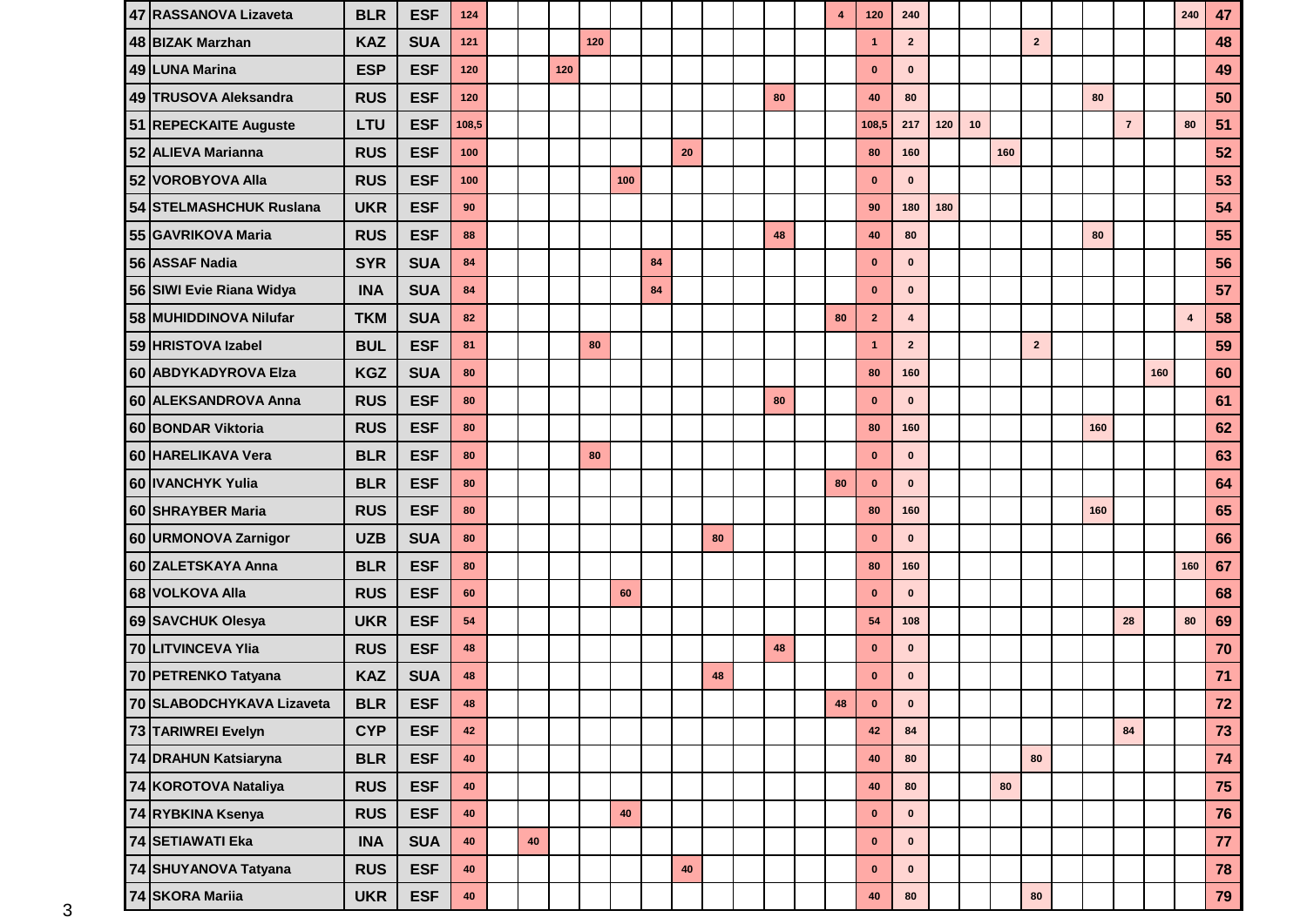| 47 RASSANOVA Lizaveta     | <b>BLR</b> | <b>ESF</b> | 124   |    |     |     |     |    |           |    |    | 4  | 120            | 240            |     |    |     |                |     |                |     | 240            | 47   |
|---------------------------|------------|------------|-------|----|-----|-----|-----|----|-----------|----|----|----|----------------|----------------|-----|----|-----|----------------|-----|----------------|-----|----------------|------|
| 48 BIZAK Marzhan          | <b>KAZ</b> | <b>SUA</b> | 121   |    |     | 120 |     |    |           |    |    |    | $\mathbf{1}$   | $\overline{2}$ |     |    |     | $\overline{2}$ |     |                |     |                | 48   |
| 49 LUNA Marina            | <b>ESP</b> | <b>ESF</b> | 120   |    | 120 |     |     |    |           |    |    |    | $\bf{0}$       | $\mathbf{0}$   |     |    |     |                |     |                |     |                | 49   |
| 49 TRUSOVA Aleksandra     | <b>RUS</b> | <b>ESF</b> | 120   |    |     |     |     |    |           |    | 80 |    | 40             | 80             |     |    |     |                | 80  |                |     |                | 50   |
| 51 REPECKAITE Auguste     | LTU        | <b>ESF</b> | 108,5 |    |     |     |     |    |           |    |    |    | 108,5          | 217            | 120 | 10 |     |                |     | $\overline{7}$ |     | 80             | 51   |
| 52 ALIEVA Marianna        | <b>RUS</b> | <b>ESF</b> | 100   |    |     |     |     |    | 20        |    |    |    | 80             | 160            |     |    | 160 |                |     |                |     |                | 52   |
| 52 VOROBYOVA Alla         | <b>RUS</b> | <b>ESF</b> | 100   |    |     |     | 100 |    |           |    |    |    | $\mathbf 0$    | $\mathbf{0}$   |     |    |     |                |     |                |     |                | 53   |
| 54 STELMASHCHUK Ruslana   | <b>UKR</b> | <b>ESF</b> | 90    |    |     |     |     |    |           |    |    |    | 90             | 180            | 180 |    |     |                |     |                |     |                | 54   |
| 55 GAVRIKOVA Maria        | <b>RUS</b> | <b>ESF</b> | 88    |    |     |     |     |    |           |    | 48 |    | 40             | 80             |     |    |     |                | 80  |                |     |                | 55   |
| 56 ASSAF Nadia            | <b>SYR</b> | <b>SUA</b> | 84    |    |     |     |     | 84 |           |    |    |    | $\bf{0}$       | $\mathbf{0}$   |     |    |     |                |     |                |     |                | 56   |
| 56 SIWI Evie Riana Widya  | <b>INA</b> | <b>SUA</b> | 84    |    |     |     |     | 84 |           |    |    |    | $\bf{0}$       | $\bf{0}$       |     |    |     |                |     |                |     |                | 57   |
| 58 MUHIDDINOVA Nilufar    | <b>TKM</b> | <b>SUA</b> | 82    |    |     |     |     |    |           |    |    | 80 | $\overline{2}$ | 4              |     |    |     |                |     |                |     | $\overline{4}$ | 58   |
| 59 HRISTOVA Izabel        | <b>BUL</b> | <b>ESF</b> | 81    |    |     | 80  |     |    |           |    |    |    | $\mathbf{1}$   | $\mathbf{2}$   |     |    |     | $\mathbf 2$    |     |                |     |                | 59   |
| 60 ABDYKADYROVA Elza      | <b>KGZ</b> | <b>SUA</b> | 80    |    |     |     |     |    |           |    |    |    | 80             | 160            |     |    |     |                |     |                | 160 |                | 60   |
| 60 ALEKSANDROVA Anna      | <b>RUS</b> | <b>ESF</b> | 80    |    |     |     |     |    |           |    | 80 |    | $\mathbf 0$    | $\mathbf{0}$   |     |    |     |                |     |                |     |                | 61   |
| 60 BONDAR Viktoria        | <b>RUS</b> | <b>ESF</b> | 80    |    |     |     |     |    |           |    |    |    | 80             | 160            |     |    |     |                | 160 |                |     |                | 62   |
| 60 HARELIKAVA Vera        | <b>BLR</b> | <b>ESF</b> | 80    |    |     | 80  |     |    |           |    |    |    | $\mathbf 0$    | $\bf{0}$       |     |    |     |                |     |                |     |                | 63   |
| 60 IVANCHYK Yulia         | <b>BLR</b> | <b>ESF</b> | 80    |    |     |     |     |    |           |    |    | 80 | $\bf{0}$       | $\bf{0}$       |     |    |     |                |     |                |     |                | 64   |
| 60 SHRAYBER Maria         | <b>RUS</b> | <b>ESF</b> | 80    |    |     |     |     |    |           |    |    |    | 80             | 160            |     |    |     |                | 160 |                |     |                | 65   |
| 60 URMONOVA Zarnigor      | <b>UZB</b> | <b>SUA</b> | 80    |    |     |     |     |    |           | 80 |    |    | $\bf{0}$       | $\mathbf{0}$   |     |    |     |                |     |                |     |                | 66   |
| 60 ZALETSKAYA Anna        | <b>BLR</b> | <b>ESF</b> | 80    |    |     |     |     |    |           |    |    |    | 80             | 160            |     |    |     |                |     |                |     | 160            | 67   |
| 68 VOLKOVA Alla           | <b>RUS</b> | <b>ESF</b> | 60    |    |     |     | 60  |    |           |    |    |    | $\bf{0}$       | $\mathbf{0}$   |     |    |     |                |     |                |     |                | 68   |
| 69 SAVCHUK Olesya         | <b>UKR</b> | <b>ESF</b> | 54    |    |     |     |     |    |           |    |    |    | 54             | 108            |     |    |     |                |     | 28             |     | 80             | 69   |
| 70 LITVINCEVA Ylia        | <b>RUS</b> | <b>ESF</b> | 48    |    |     |     |     |    |           |    | 48 |    | $\bf{0}$       | $\mathbf{0}$   |     |    |     |                |     |                |     |                | 70   |
| 70 PETRENKO Tatyana       | <b>KAZ</b> | <b>SUA</b> | 48    |    |     |     |     |    |           | 48 |    |    | $\bf{0}$       | $\bf{0}$       |     |    |     |                |     |                |     |                | $71$ |
| 70 SLABODCHYKAVA Lizaveta | <b>BLR</b> | <b>ESF</b> | 48    |    |     |     |     |    |           |    |    | 48 | $\mathbf 0$    | 0              |     |    |     |                |     |                |     |                | $72$ |
| 73 TARIWREI Evelyn        | <b>CYP</b> | <b>ESF</b> | 42    |    |     |     |     |    |           |    |    |    | 42             | 84             |     |    |     |                |     | 84             |     |                | 73   |
| 74 DRAHUN Katsiaryna      | <b>BLR</b> | <b>ESF</b> | 40    |    |     |     |     |    |           |    |    |    | 40             | 80             |     |    |     | 80             |     |                |     |                | 74   |
| 74 KOROTOVA Nataliya      | <b>RUS</b> | <b>ESF</b> | 40    |    |     |     |     |    |           |    |    |    | $40\,$         | 80             |     |    | 80  |                |     |                |     |                | 75   |
| 74 RYBKINA Ksenya         | <b>RUS</b> | <b>ESF</b> | 40    |    |     |     | 40  |    |           |    |    |    | $\mathbf 0$    | $\mathbf 0$    |     |    |     |                |     |                |     |                | 76   |
| <b>74 SETIAWATI Eka</b>   | <b>INA</b> | <b>SUA</b> | 40    | 40 |     |     |     |    |           |    |    |    | $\mathbf 0$    | $\mathbf 0$    |     |    |     |                |     |                |     |                | 77   |
| 74 SHUYANOVA Tatyana      | <b>RUS</b> | <b>ESF</b> | 40    |    |     |     |     |    | $\bf{40}$ |    |    |    | $\pmb{0}$      | $\mathbf{0}$   |     |    |     |                |     |                |     |                | 78   |
| 74 SKORA Mariia           | <b>UKR</b> | <b>ESF</b> | 40    |    |     |     |     |    |           |    |    |    | 40             | ${\bf 80}$     |     |    |     | 80             |     |                |     |                | 79   |